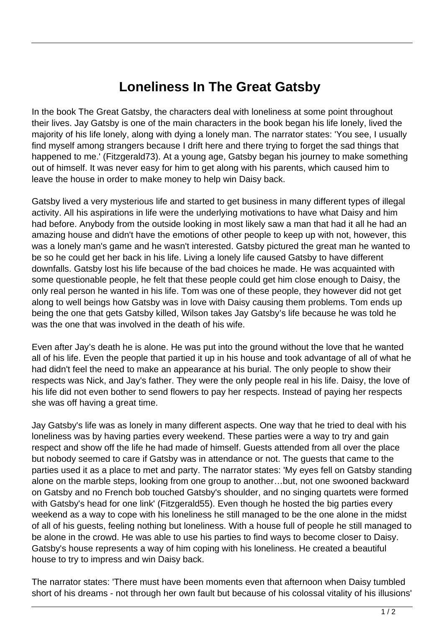## **Loneliness In The Great Gatsby**

In the book The Great Gatsby, the characters deal with loneliness at some point throughout their lives. Jay Gatsby is one of the main characters in the book began his life lonely, lived the majority of his life lonely, along with dying a lonely man. The narrator states: 'You see, I usually find myself among strangers because I drift here and there trying to forget the sad things that happened to me.' (Fitzgerald73). At a young age, Gatsby began his journey to make something out of himself. It was never easy for him to get along with his parents, which caused him to leave the house in order to make money to help win Daisy back.

Gatsby lived a very mysterious life and started to get business in many different types of illegal activity. All his aspirations in life were the underlying motivations to have what Daisy and him had before. Anybody from the outside looking in most likely saw a man that had it all he had an amazing house and didn't have the emotions of other people to keep up with not, however, this was a lonely man's game and he wasn't interested. Gatsby pictured the great man he wanted to be so he could get her back in his life. Living a lonely life caused Gatsby to have different downfalls. Gatsby lost his life because of the bad choices he made. He was acquainted with some questionable people, he felt that these people could get him close enough to Daisy, the only real person he wanted in his life. Tom was one of these people, they however did not get along to well beings how Gatsby was in love with Daisy causing them problems. Tom ends up being the one that gets Gatsby killed, Wilson takes Jay Gatsby's life because he was told he was the one that was involved in the death of his wife.

Even after Jay's death he is alone. He was put into the ground without the love that he wanted all of his life. Even the people that partied it up in his house and took advantage of all of what he had didn't feel the need to make an appearance at his burial. The only people to show their respects was Nick, and Jay's father. They were the only people real in his life. Daisy, the love of his life did not even bother to send flowers to pay her respects. Instead of paying her respects she was off having a great time.

Jay Gatsby's life was as lonely in many different aspects. One way that he tried to deal with his loneliness was by having parties every weekend. These parties were a way to try and gain respect and show off the life he had made of himself. Guests attended from all over the place but nobody seemed to care if Gatsby was in attendance or not. The guests that came to the parties used it as a place to met and party. The narrator states: 'My eyes fell on Gatsby standing alone on the marble steps, looking from one group to another…but, not one swooned backward on Gatsby and no French bob touched Gatsby's shoulder, and no singing quartets were formed with Gatsby's head for one link' (Fitzgerald55). Even though he hosted the big parties every weekend as a way to cope with his loneliness he still managed to be the one alone in the midst of all of his guests, feeling nothing but loneliness. With a house full of people he still managed to be alone in the crowd. He was able to use his parties to find ways to become closer to Daisy. Gatsby's house represents a way of him coping with his loneliness. He created a beautiful house to try to impress and win Daisy back.

The narrator states: 'There must have been moments even that afternoon when Daisy tumbled short of his dreams - not through her own fault but because of his colossal vitality of his illusions'